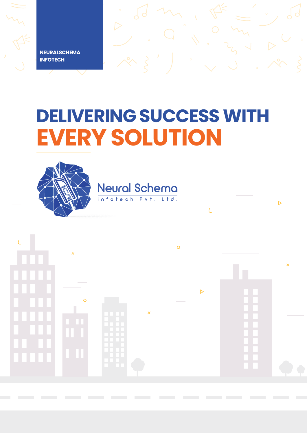**NEURALSCHEMA INFOTECH**

# **DELIVERING SUCCESS WITH EVERY SOLUTION**

 $\triangleright$ 

 $\overline{C}$ 

Neural Schema

infotech



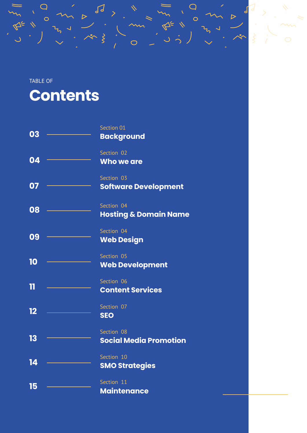#### TABLE OF

 $\begin{matrix} 1 & 1 \\ 0 & 1 \end{matrix}$ 

### **Contents**

| 03 | Section 01                       |
|----|----------------------------------|
|    | <b>Background</b>                |
|    | Section 02                       |
| 04 | Who we are                       |
|    | Section 03                       |
| 07 | <b>Software Development</b>      |
|    | Section 04                       |
| 08 | <b>Hosting &amp; Domain Name</b> |
|    | Section 04                       |
| 09 | <b>Web Design</b>                |
|    | Section 05                       |
| 10 | <b>Web Development</b>           |
|    | Section 06                       |
| 11 | <b>Content Services</b>          |
|    | Section 07                       |
| 12 | <b>SEO</b>                       |
|    | Section 08                       |
| 13 | <b>Social Media Promotion</b>    |
|    | Section 10                       |
| 14 | <b>SMO Strategies</b>            |
|    | Section 11                       |
| 15 | <b>Maintenance</b>               |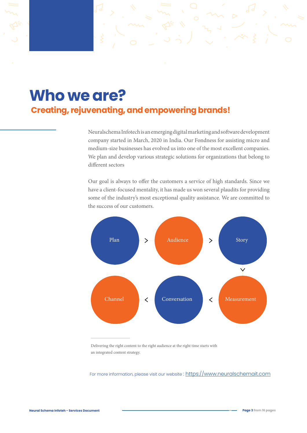### **Who we are? Creating, rejuvenating, and empowering brands!**

Neuralschema Infotech is an emerging digital marketing and software development company started in March, 2020 in India. Our Fondness for assisting micro and medium-size businesses has evolved us into one of the most excellent companies. We plan and develop various strategic solutions for organizations that belong to different sectors

Our goal is always to offer the customers a service of high standards. Since we have a client-focused mentality, it has made us won several plaudits for providing some of the industry's most exceptional quality assistance. We are committed to the success of our customers.



Delivering the right content to the right audience at the right time starts with an integrated content strategy.

For more information, please visit our website: [https://w](https://vimeo.com/492099789)ww.neuralschemait.com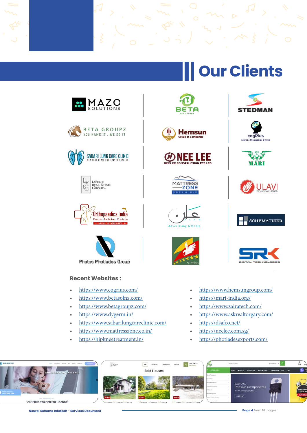# **Our Clients**



- https://www.betagroupz.com/
- https://www.dygerm.in/
- https://www.sabarilungcareclinic.com/
- https://www.mattresszone.co.in/
- https://hipkneetreatment.in/

























- https://www.hemsungroup.com/
- https://mari-india.org/
- https://www.zairatech.com/
- https://www.askrealtorgary.com/
- https://dsafco.net/
- https://neelee.com.sg/
- https://photiadesexports.com/





**Neural Schema Infotech - Services Document Page 4 from 16 pages**



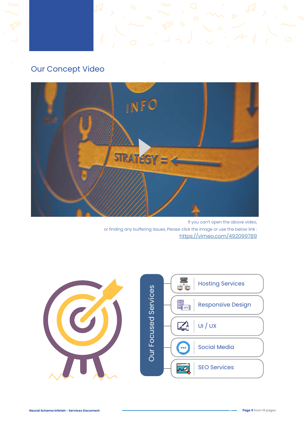#### Our Concept Video



If you can't open the above video, or finding any buffering issues, Please click the image or use the below link : <https://vimeo.com/492099789>

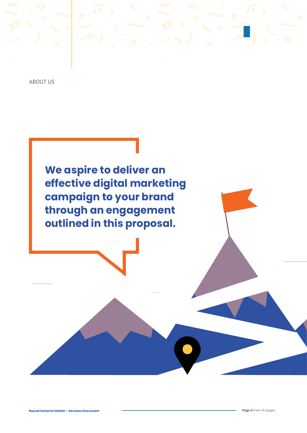ABOUT US

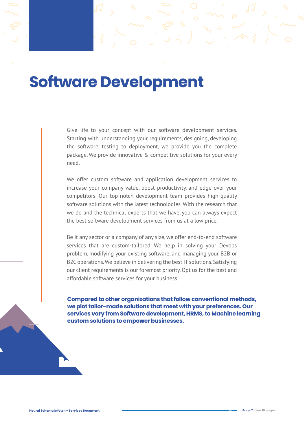### **Software Development**

Give life to your concept with our software development services. Starting with understanding your requirements, designing, developing the software, testing to deployment, we provide you the complete package. We provide innovative & competitive solutions for your every need.

We offer custom software and application development services to increase your company value, boost productivity, and edge over your competitors. Our top-notch development team provides high-quality software solutions with the latest technologies. With the research that we do and the technical experts that we have, you can always expect the best software development services from us at a low price.

Be it any sector or a company of any size, we offer end-to-end software services that are custom-tailored. We help in solving your Devops problem, modifying your existing software, and managing your B2B or B2C operations. We believe in delivering the best IT solutions. Satisfying our client requirements is our foremost priority. Opt us for the best and affordable software services for your business.

**04 we plot tailor-made solutions that meet with your preferences. Our Compared to other organizations that follow conventional methods, services vary from Software development, HRMS, to Machine learning custom solutions to empower businesses.**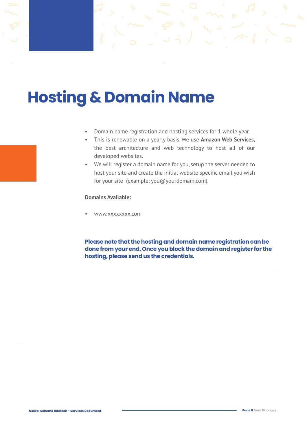## **Hosting & Domain Name**

- Domain name registration and hosting services for 1 whole year
- This is renewable on a yearly basis. We use **Amazon Web Services,** the best architecture and web technology to host all of our developed websites.
- We will register a domain name for you, setup the server needed to host your site and create the initial website specific email you wish for your site (example: you@yourdomain.com).

#### **Domains Available:**

• www.xxxxxxxx.com

**Please note that the hosting and domain name registration can be done from your end. Once you block the domain and register for the hosting, please send us the credentials.**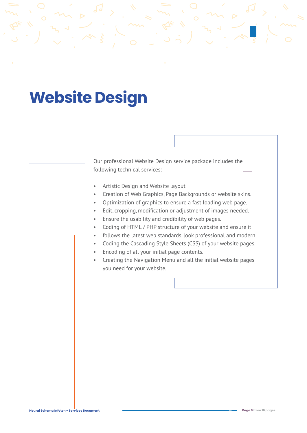## **Website Design**

Our professional Website Design service package includes the following technical services:

- Artistic Design and Website layout
- Creation of Web Graphics, Page Backgrounds or website skins.
- Optimization of graphics to ensure a fast loading web page.
- Edit, cropping, modification or adjustment of images needed.
- Ensure the usability and credibility of web pages.
- Coding of HTML / PHP structure of your website and ensure it
- follows the latest web standards, look professional and modern.
- Coding the Cascading Style Sheets (CSS) of your website pages.
- Encoding of all your initial page contents.
- Creating the Navigation Menu and all the initial website pages you need for your website.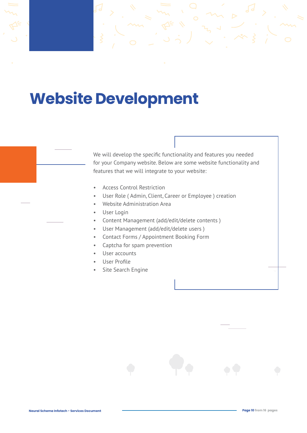### **Website Development**

We will develop the specific functionality and features you needed for your Company website. Below are some website functionality and features that we will integrate to your website:

- Access Control Restriction
- User Role ( Admin, Client, Career or Employee ) creation
- Website Administration Area
- User Login
- Content Management (add/edit/delete contents )
- User Management (add/edit/delete users )
- Contact Forms / Appointment Booking Form
- Captcha for spam prevention
- User accounts
- User Profile
- Site Search Engine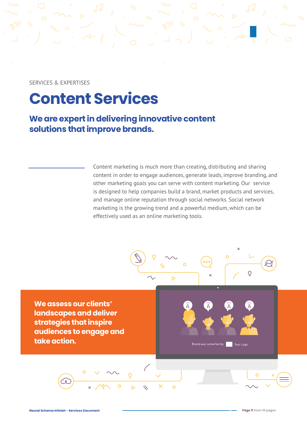SERVICES & EXPERTISES

### **Content Services**

**We are expert in delivering innovative content solutions that improve brands.** 

> Content marketing is much more than creating, distributing and sharing content in order to engage audiences, generate leads, improve branding, and other marketing goals you can serve with content marketing. Our service is designed to help companies build a brand, market products and services, and manage online reputation through social networks. Social network marketing is the growing trend and a powerful medium, which can be effectively used as an online marketing tools.

> > $\overline{O}$

 $\overline{D}$ 

 $\circ$ 

 $000$ 

Brand was converted by **Fig. 1** Your Logo

**We assess our clients' landscapes and deliver strategies that inspire audiences to engage and take action.**

**Neural Schema Infoteh - Services Document Page 11 from 16 pages**

 $\overline{O}$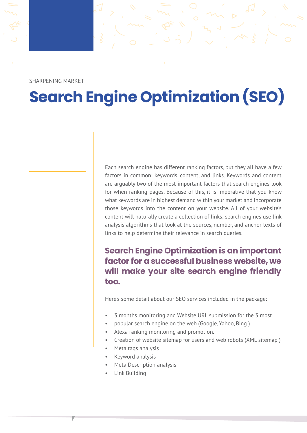SHARPENING MARKET

## **Search Engine Optimization (SEO)**

Each search engine has different ranking factors, but they all have a few factors in common: keywords, content, and links. Keywords and content are arguably two of the most important factors that search engines look for when ranking pages. Because of this, it is imperative that you know what keywords are in highest demand within your market and incorporate those keywords into the content on your website. All of your website's content will naturally create a collection of links; search engines use link analysis algorithms that look at the sources, number, and anchor texts of links to help determine their relevance in search queries.

#### **Search Engine Optimization is an important factor for a successful business website, we will make your site search engine friendly too.**

Here's some detail about our SEO services included in the package:

- 3 months monitoring and Website URL submission for the 3 most
- popular search engine on the web (Google, Yahoo, Bing )
- Alexa ranking monitoring and promotion.
- Creation of website sitemap for users and web robots (XML sitemap )
- Meta tags analysis
- Keyword analysis
- Meta Description analysis
- Link Building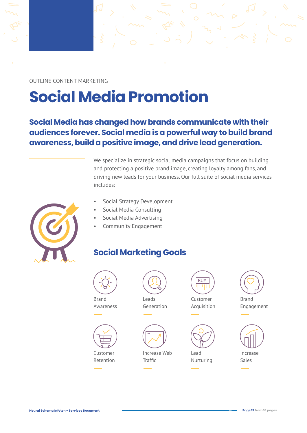OUTLINE CONTENT MARKETING

# **Social Media Promotion**

#### **Social Media has changed how brands communicate with their audiences forever. Social media is a powerful way to build brand awareness, build a positive image, and drive lead generation.**

We specialize in strategic social media campaigns that focus on building and protecting a positive brand image, creating loyalty among fans, and driving new leads for your business. Our full suite of social media services includes:



- Social Strategy Development
- Social Media Consulting
- Social Media Advertising
- Community Engagement

#### **Social Marketing Goals**



Brand Awareness



Customer Retention



Leads Generation



Increase Web **Traffic** 

**BUY** 

Customer Acquisition



Lead Nurturing



Brand Engagement



Increase Sales



**Neural Schema Infoteh - Services Document Page 13 from 16 pages**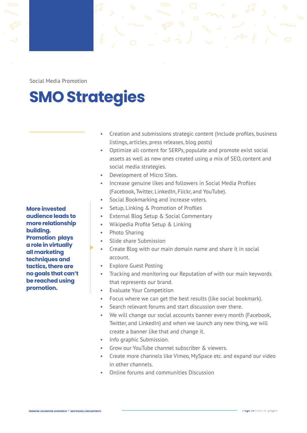Social Media Promotion

# **SMO Strategies**

- Creation and submissions strategic content (Include profiles, business listings, articles, press releases, blog posts)
- Optimize all content for SERPs, populate and promote exist social assets as well as new ones created using a mix of SEO, content and social media strategies.
- Development of Micro Sites.
- Increase genuine likes and followers in Social Media Profiles (Facebook, Twitter, LinkedIn, Flickr, and YouTube).
- Social Bookmarking and increase voters.
- Setup, Linking & Promotion of Profiles
- External Blog Setup & Social Commentary
- Wikipedia Profile Setup & Linking
- Photo Sharing
- Slide share Submission
- Create Blog with our main domain name and share it in social account.
- **Explore Guest Posting**
- Tracking and monitoring our Reputation of with our main keywords that represents our brand.
- Evaluate Your Competition
- Focus where we can get the best results (like social bookmark).
- Search relevant forums and start discussion over there.
- We will change our social accounts banner every month (Facebook, Twitter, and LinkedIn) and when we launch any new thing, we will create a banner like that and change it.
- Info graphic Submission.
- Grow our YouTube channel subscriber & viewers.
- Create more channels like Vimeo, MySpace etc. and expand our video in other channels.
- Online forums and communities Discussion

**More invested audience leads to more relationship building. Promotion plays a role in virtually all marketing techniques and tactics, there are no goals that can't be reached using promotion.**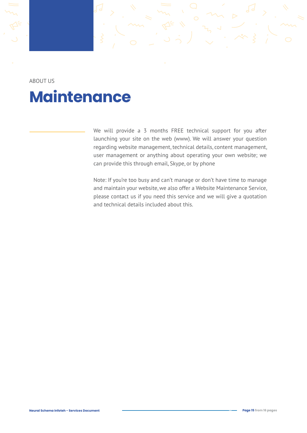ABOUT US **Maintenance**

> We will provide a 3 months FREE technical support for you after launching your site on the web (www). We will answer your question regarding website management, technical details, content management, user management or anything about operating your own website; we can provide this through email, Skype, or by phone

> Note: If you're too busy and can't manage or don't have time to manage and maintain your website, we also offer a Website Maintenance Service, please contact us if you need this service and we will give a quotation and technical details included about this.